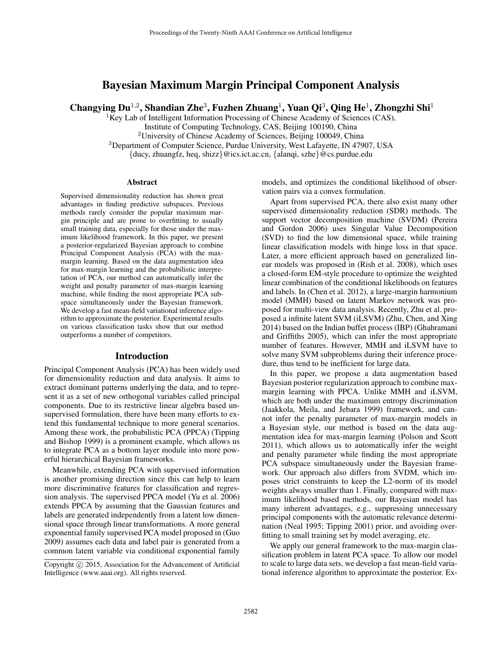# Bayesian Maximum Margin Principal Component Analysis

Changying Du<sup>1,2</sup>, Shandian Zhe<sup>3</sup>, Fuzhen Zhuang<sup>1</sup>, Yuan Qi<sup>3</sup>, Qing He<sup>1</sup>, Zhongzhi Shi<sup>1</sup>

 ${}^{1}$ Key Lab of Intelligent Information Processing of Chinese Academy of Sciences (CAS),

Institute of Computing Technology, CAS, Beijing 100190, China

<sup>2</sup>University of Chinese Academy of Sciences, Beijing 100049, China

<sup>3</sup>Department of Computer Science, Purdue University, West Lafayette, IN 47907, USA

 $\{\text{ducy}, \text{zhuangfz}, \text{heq}, \text{shizz}\}\ @\text{ics.ict.ac.cn}, \{\text{alangi}, \text{szhe}\}\ @\text{cs.putedue.edu}$ 

### Abstract

Supervised dimensionality reduction has shown great advantages in finding predictive subspaces. Previous methods rarely consider the popular maximum margin principle and are prone to overfitting to usually small training data, especially for those under the maximum likelihood framework. In this paper, we present a posterior-regularized Bayesian approach to combine Principal Component Analysis (PCA) with the maxmargin learning. Based on the data augmentation idea for max-margin learning and the probabilistic interpretation of PCA, our method can automatically infer the weight and penalty parameter of max-margin learning machine, while finding the most appropriate PCA subspace simultaneously under the Bayesian framework. We develop a fast mean-field variational inference algorithm to approximate the posterior. Experimental results on various classification tasks show that our method outperforms a number of competitors.

### Introduction

Principal Component Analysis (PCA) has been widely used for dimensionality reduction and data analysis. It aims to extract dominant patterns underlying the data, and to represent it as a set of new orthogonal variables called principal components. Due to its restrictive linear algebra based unsupervised formulation, there have been many efforts to extend this fundamental technique to more general scenarios. Among these work, the probabilistic PCA (PPCA) (Tipping and Bishop 1999) is a prominent example, which allows us to integrate PCA as a bottom layer module into more powerful hierarchical Bayesian frameworks.

Meanwhile, extending PCA with supervised information is another promising direction since this can help to learn more discriminative features for classification and regression analysis. The supervised PPCA model (Yu et al. 2006) extends PPCA by assuming that the Gaussian features and labels are generated independently from a latent low dimensional space through linear transformations. A more general exponential family supervised PCA model proposed in (Guo 2009) assumes each data and label pair is generated from a common latent variable via conditional exponential family

models, and optimizes the conditional likelihood of observation pairs via a convex formulation.

Apart from supervised PCA, there also exist many other supervised dimensionality reduction (SDR) methods. The support vector decomposition machine (SVDM) (Pereira and Gordon 2006) uses Singular Value Decomposition (SVD) to find the low dimensional space, while training linear classification models with hinge loss in that space. Later, a more efficient approach based on generalized linear models was proposed in (Rish et al. 2008), which uses a closed-form EM-style procedure to optimize the weighted linear combination of the conditional likelihoods on features and labels. In (Chen et al. 2012), a large-margin harmonium model (MMH) based on latent Markov network was proposed for multi-view data analysis. Recently, Zhu et al. proposed a infinite latent SVM (iLSVM) (Zhu, Chen, and Xing 2014) based on the Indian buffet process (IBP) (Ghahramani and Griffiths 2005), which can infer the most appropriate number of features. However, MMH and iLSVM have to solve many SVM subproblems during their inference procedure, thus tend to be inefficient for large data.

In this paper, we propose a data augmentation based Bayesian posterior regularization approach to combine maxmargin learning with PPCA. Unlike MMH and iLSVM, which are both under the maximum entropy discrimination (Jaakkola, Meila, and Jebara 1999) framework, and cannot infer the penalty parameter of max-margin models in a Bayesian style, our method is based on the data augmentation idea for max-margin learning (Polson and Scott 2011), which allows us to automatically infer the weight and penalty parameter while finding the most appropriate PCA subspace simultaneously under the Bayesian framework. Our approach also differs from SVDM, which imposes strict constraints to keep the L2-norm of its model weights always smaller than 1. Finally, compared with maximum likelihood based methods, our Bayesian model has many inherent advantages, e.g., suppressing unnecessary principal components with the automatic relevance determination (Neal 1995; Tipping 2001) prior, and avoiding overfitting to small training set by model averaging, etc.

We apply our general framework to the max-margin classification problem in latent PCA space. To allow our model to scale to large data sets, we develop a fast mean-field variational inference algorithm to approximate the posterior. Ex-

Copyright (c) 2015, Association for the Advancement of Artificial Intelligence (www.aaai.org). All rights reserved.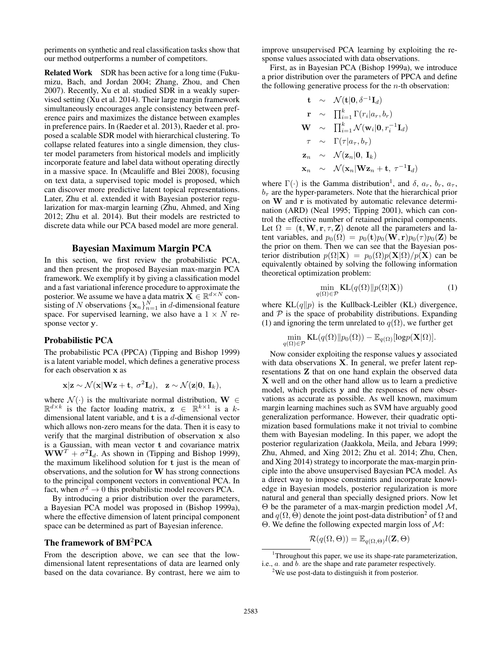periments on synthetic and real classification tasks show that our method outperforms a number of competitors.

Related Work SDR has been active for a long time (Fukumizu, Bach, and Jordan 2004; Zhang, Zhou, and Chen 2007). Recently, Xu et al. studied SDR in a weakly supervised setting (Xu et al. 2014). Their large margin framework simultaneously encourages angle consistency between preference pairs and maximizes the distance between examples in preference pairs. In (Raeder et al. 2013), Raeder et al. proposed a scalable SDR model with hierarchical clustering. To collapse related features into a single dimension, they cluster model parameters from historical models and implicitly incorporate feature and label data without operating directly in a massive space. In (Mcauliffe and Blei 2008), focusing on text data, a supervised topic model is proposed, which can discover more predictive latent topical representations. Later, Zhu et al. extended it with Bayesian posterior regularization for max-margin learning (Zhu, Ahmed, and Xing 2012; Zhu et al. 2014). But their models are restricted to discrete data while our PCA based model are more general.

### Bayesian Maximum Margin PCA

In this section, we first review the probabilistic PCA, and then present the proposed Bayesian max-margin PCA framework. We exemplify it by giving a classification model and a fast variational inference procedure to approximate the posterior. We assume we have a data matrix  $\overrightarrow{\mathbf{X}} \in \mathbb{R}^{d \times N}$  consisting of N observations  $\{x_n\}_{n=1}^N$  in d-dimensional feature space. For supervised learning, we also have a  $1 \times N$  response vector y.

### Probabilistic PCA

The probabilistic PCA (PPCA) (Tipping and Bishop 1999) is a latent variable model, which defines a generative process for each observation x as

$$
\mathbf{x}|\mathbf{z} \sim \mathcal{N}(\mathbf{x}|\mathbf{W}\mathbf{z} + \mathbf{t}, \sigma^2 \mathbf{I}_d), \quad \mathbf{z} \sim \mathcal{N}(\mathbf{z}|\mathbf{0}, \mathbf{I}_k),
$$

where  $\mathcal{N}(\cdot)$  is the multivariate normal distribution,  $\mathbf{W} \in$  $\mathbb{R}^{d \times k}$  is the factor loading matrix,  $z \in \mathbb{R}^{k \times 1}$  is a kdimensional latent variable, and t is a d-dimensional vector which allows non-zero means for the data. Then it is easy to verify that the marginal distribution of observation x also is a Gaussian, with mean vector t and covariance matrix  $WW<sup>T</sup> + \sigma<sup>2</sup>I<sub>d</sub>$ . As shown in (Tipping and Bishop 1999), the maximum likelihood solution for t just is the mean of observations, and the solution for W has strong connections to the principal component vectors in conventional PCA. In fact, when  $\sigma^2 \to 0$  this probabilistic model recovers PCA.

By introducing a prior distribution over the parameters, a Bayesian PCA model was proposed in (Bishop 1999a), where the effective dimension of latent principal component space can be determined as part of Bayesian inference.

### The framework of BM2PCA

From the description above, we can see that the lowdimensional latent representations of data are learned only based on the data covariance. By contrast, here we aim to

improve unsupervised PCA learning by exploiting the response values associated with data observations.

First, as in Bayesian PCA (Bishop 1999a), we introduce a prior distribution over the parameters of PPCA and define the following generative process for the  $n$ -th observation:

$$
\mathbf{t} \sim \mathcal{N}(\mathbf{t}|\mathbf{0}, \delta^{-1}\mathbf{I}_d)
$$
\n
$$
\mathbf{r} \sim \prod_{i=1}^k \Gamma(r_i|a_r, b_r)
$$
\n
$$
\mathbf{W} \sim \prod_{i=1}^k \mathcal{N}(\mathbf{w}_i|\mathbf{0}, r_i^{-1}\mathbf{I}_d)
$$
\n
$$
\tau \sim \Gamma(\tau|a_\tau, b_\tau)
$$
\n
$$
\mathbf{z}_n \sim \mathcal{N}(\mathbf{z}_n|\mathbf{0}, \mathbf{I}_k)
$$
\n
$$
\mathbf{x}_n \sim \mathcal{N}(\mathbf{x}_n|\mathbf{W}\mathbf{z}_n + \mathbf{t}, \tau^{-1}\mathbf{I}_d)
$$

where  $\Gamma(\cdot)$  is the Gamma distribution<sup>1</sup>, and  $\delta$ ,  $a_r$ ,  $b_r$ ,  $a_\tau$ ,  $b<sub>\tau</sub>$  are the hyper-parameters. Note that the hierarchical prior on W and r is motivated by automatic relevance determination (ARD) (Neal 1995; Tipping 2001), which can control the effective number of retained principal components. Let  $\Omega = (\mathbf{t}, \mathbf{W}, \mathbf{r}, \tau, \mathbf{Z})$  denote all the parameters and latent variables, and  $p_0(\Omega) = p_0(\mathbf{t})p_0(\mathbf{W}, \mathbf{r})p_0(\tau)p_0(\mathbf{Z})$  be the prior on them. Then we can see that the Bayesian posterior distribution  $p(\Omega|\mathbf{X}) = p_0(\Omega)p(\mathbf{X}|\Omega)/p(\mathbf{X})$  can be equivalently obtained by solving the following information theoretical optimization problem:

$$
\min_{q(\Omega)\in\mathcal{P}} \mathrm{KL}(q(\Omega) \| p(\Omega | \mathbf{X}))\tag{1}
$$

where  $KL(q||p)$  is the Kullback-Leibler (KL) divergence, and  $\mathcal P$  is the space of probability distributions. Expanding (1) and ignoring the term unrelated to  $q(\Omega)$ , we further get

$$
\min_{q(\Omega)\in\mathcal{P}}\text{KL}(q(\Omega)\|p_0(\Omega))-\mathbb{E}_{q(\Omega)}[\text{log}p(\mathbf{X}|\Omega)].
$$

Now consider exploiting the response values y associated with data observations **X**. In general, we prefer latent representations Z that on one hand explain the observed data X well and on the other hand allow us to learn a predictive model, which predicts y and the responses of new observations as accurate as possible. As well known, maximum margin learning machines such as SVM have arguably good generalization performance. However, their quadratic optimization based formulations make it not trivial to combine them with Bayesian modeling. In this paper, we adopt the posterior regularization (Jaakkola, Meila, and Jebara 1999; Zhu, Ahmed, and Xing 2012; Zhu et al. 2014; Zhu, Chen, and Xing 2014) strategy to incorporate the max-margin principle into the above unsupervised Bayesian PCA model. As a direct way to impose constraints and incorporate knowledge in Bayesian models, posterior regularization is more natural and general than specially designed priors. Now let Θ be the parameter of a max-margin prediction model M, and  $q(\Omega, \Theta)$  denote the joint post-data distribution<sup>2</sup> of  $\Omega$  and Θ. We define the following expected margin loss of M:

$$
\mathcal{R}(q(\Omega,\Theta)) = \mathbb{E}_{q(\Omega,\Theta)} l(\mathbf{Z},\Theta)
$$

<sup>&</sup>lt;sup>1</sup>Throughout this paper, we use its shape-rate parameterization, i.e.,  $a_i$  and  $b_i$  are the shape and rate parameter respectively.

<sup>&</sup>lt;sup>2</sup>We use post-data to distinguish it from posterior.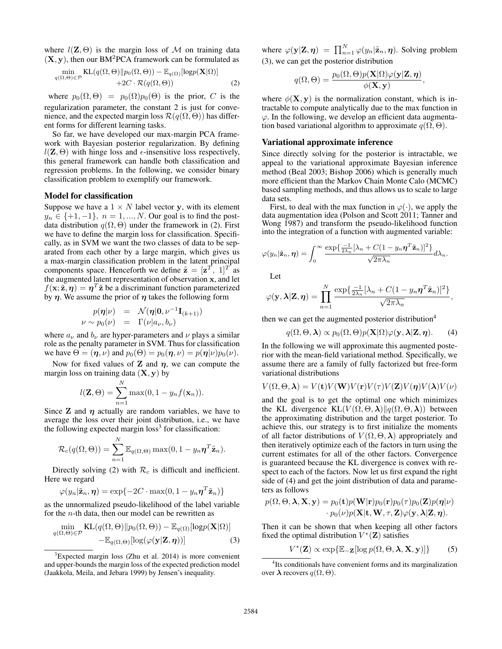where  $l(\mathbf{Z}, \Theta)$  is the margin loss of M on training data  $(X, y)$ , then our BM<sup>2</sup>PCA framework can be formulated as

$$
\min_{q(\Omega,\Theta)\in\mathcal{P}} \mathrm{KL}(q(\Omega,\Theta)||p_0(\Omega,\Theta)) - \mathbb{E}_{q(\Omega)}[\mathrm{log}p(\mathbf{X}|\Omega)] + 2C \cdot \mathcal{R}(q(\Omega,\Theta)) \tag{2}
$$

where  $p_0(\Omega, \Theta) = p_0(\Omega) p_0(\Theta)$  is the prior, C is the regularization parameter, the constant 2 is just for convenience, and the expected margin loss  $\mathcal{R}(q(\Omega,\Theta))$  has different forms for different learning tasks.

So far, we have developed our max-margin PCA framework with Bayesian posterior regularization. By defining  $l(\mathbf{Z}, \Theta)$  with hinge loss and  $\epsilon$ -insensitive loss respectively, this general framework can handle both classification and regression problems. In the following, we consider binary classification problem to exemplify our framework.

### Model for classification

Suppose we have a  $1 \times N$  label vector y, with its element  $y_n \in \{+1, -1\}, n = 1, ..., N$ . Our goal is to find the postdata distribution  $q(\Omega, \Theta)$  under the framework in (2). First we have to define the margin loss for classification. Specifically, as in SVM we want the two classes of data to be separated from each other by a large margin, which gives us a max-margin classification problem in the latent principal components space. Henceforth we define  $\tilde{\mathbf{z}} = [\mathbf{z}^T, 1]^T$  as the augmented latent representation of observation x, and let  $f(\mathbf{x}; \tilde{\mathbf{z}}, \boldsymbol{\eta}) = \boldsymbol{\eta}^T \tilde{\mathbf{z}}$  be a discriminant function parameterized by  $\eta$ . We assume the prior of  $\eta$  takes the following form

$$
p(\boldsymbol{\eta}|\nu) = \mathcal{N}(\boldsymbol{\eta}|\mathbf{0}, \nu^{-1}\mathbf{I}_{(k+1)})
$$
  

$$
\nu \sim p_0(\nu) = \Gamma(\nu|a_{\nu}, b_{\nu})
$$

where  $a_{\nu}$  and  $b_{\nu}$  are hyper-parameters and  $\nu$  plays a similar role as the penalty parameter in SVM. Thus for classification we have  $\Theta = (\eta, \nu)$  and  $p_0(\Theta) = p_0(\eta, \nu) = p(\eta|\nu)p_0(\nu)$ .

Now for fixed values of  $Z$  and  $\eta$ , we can compute the margin loss on training data  $(X, y)$  by

$$
l(\mathbf{Z},\Theta) = \sum_{n=1}^{N} \max(0, 1 - y_n f(\mathbf{x}_n)).
$$

Since  $Z$  and  $\eta$  actually are random variables, we have to average the loss over their joint distribution, i.e., we have the following expected margin  $loss<sup>3</sup>$  for classification:

$$
\mathcal{R}_c(q(\Omega,\Theta)) = \sum_{n=1}^N \mathbb{E}_{q(\Omega,\Theta)} \max(0, 1 - y_n \boldsymbol{\eta}^T \tilde{\mathbf{z}}_n).
$$

Directly solving (2) with  $\mathcal{R}_c$  is difficult and inefficient. Here we regard

$$
\varphi(y_n|\tilde{\mathbf{z}}_n, \boldsymbol{\eta}) = \exp\{-2C \cdot \max(0, 1 - y_n \boldsymbol{\eta}^T \tilde{\mathbf{z}}_n)\}\
$$

as the unnormalized pseudo-likelihood of the label variable for the  $n$ -th data, then our model can be rewritten as

$$
\min_{q(\Omega,\Theta)\in\mathcal{P}} \text{KL}(q(\Omega,\Theta)||p_0(\Omega,\Theta)) - \mathbb{E}_{q(\Omega)}[\text{log}p(\mathbf{X}|\Omega)] - \mathbb{E}_{q(\Omega,\Theta)}[\text{log}(\varphi(\mathbf{y}|\mathbf{Z},\boldsymbol{\eta}))]
$$
(3)

where  $\varphi(\mathbf{y}|\mathbf{Z}, \boldsymbol{\eta}) = \prod_{n=1}^{N} \varphi(y_n|\tilde{\mathbf{z}}_n, \boldsymbol{\eta})$ . Solving problem (3), we can get the posterior distribution

$$
q(\Omega, \Theta) = \frac{p_0(\Omega, \Theta) p(\mathbf{X}|\Omega) \varphi(\mathbf{y}|\mathbf{Z}, \boldsymbol{\eta})}{\phi(\mathbf{X}, \mathbf{y})},
$$

where  $\phi(\mathbf{X}, \mathbf{y})$  is the normalization constant, which is intractable to compute analytically due to the max function in  $\varphi$ . In the following, we develop an efficient data augmentation based variational algorithm to approximate  $q(\Omega, \Theta)$ .

#### Variational approximate inference

Since directly solving for the posterior is intractable, we appeal to the variational approximate Bayesian inference method (Beal 2003; Bishop 2006) which is generally much more efficient than the Markov Chain Monte Calo (MCMC) based sampling methods, and thus allows us to scale to large data sets.

First, to deal with the max function in  $\varphi(\cdot)$ , we apply the data augmentation idea (Polson and Scott 2011; Tanner and Wong 1987) and transform the pseudo-likelihood function into the integration of a function with augmented variable:

$$
\varphi(y_n|\tilde{\mathbf{z}}_n,\boldsymbol{\eta}) = \int_0^\infty \frac{\exp\{\frac{-1}{2\lambda_n}[\lambda_n + C(1 - y_n\boldsymbol{\eta}^T\tilde{\mathbf{z}}_n)]^2\}}{\sqrt{2\pi\lambda_n}}d\lambda_n.
$$

Let

$$
\varphi(\mathbf{y},\boldsymbol{\lambda}|\mathbf{Z},\boldsymbol{\eta})=\prod_{n=1}^N\frac{\exp\{\frac{-1}{2\lambda_n}[\lambda_n+C(1-y_n\boldsymbol{\eta}^T\tilde{\mathbf{z}}_n)]^2\}}{\sqrt{2\pi\lambda_n}},
$$

then we can get the augmented posterior distribution<sup>4</sup>

$$
q(\Omega, \Theta, \lambda) \propto p_0(\Omega, \Theta) p(\mathbf{X}|\Omega) \varphi(\mathbf{y}, \lambda | \mathbf{Z}, \boldsymbol{\eta}).
$$
 (4)

In the following we will approximate this augmented posterior with the mean-field variational method. Specifically, we assume there are a family of fully factorized but free-form variational distributions

$$
V(\Omega, \Theta, \lambda) = V(\mathbf{t})V(\mathbf{W})V(\mathbf{r})V(\tau)V(\mathbf{Z})V(\boldsymbol{\eta})V(\lambda)V(\nu)
$$

and the goal is to get the optimal one which minimizes the KL divergence KL( $V(\Omega, \Theta, \lambda) || q(\Omega, \Theta, \lambda)$ ) between the approximating distribution and the target posterior. To achieve this, our strategy is to first initialize the moments of all factor distributions of  $V(\Omega, \Theta, \lambda)$  appropriately and then iteratively optimize each of the factors in turn using the current estimates for all of the other factors. Convergence is guaranteed because the KL divergence is convex with respect to each of the factors. Now let us first expand the right side of (4) and get the joint distribution of data and parameters as follows

$$
p(\Omega,\Theta,\boldsymbol{\lambda},\mathbf{X},\mathbf{y}) = p_0(\mathbf{t})p(\mathbf{W}|\mathbf{r})p_0(\mathbf{r})p_0(\tau)p_0(\mathbf{Z})p(\boldsymbol{\eta}|\nu)\\ \cdot p_0(\nu)p(\mathbf{X}|\mathbf{t},\mathbf{W},\tau,\mathbf{Z})\varphi(\mathbf{y},\boldsymbol{\lambda}|\mathbf{Z},\boldsymbol{\eta}).
$$

Then it can be shown that when keeping all other factors fixed the optimal distribution  $V^*(\mathbf{Z})$  satisfies

$$
V^*(\mathbf{Z}) \propto \exp\{\mathbb{E}_{-\mathbf{Z}}[\log p(\Omega, \Theta, \boldsymbol{\lambda}, \mathbf{X}, \mathbf{y})]\}\
$$
 (5)

<sup>3</sup>Expected margin loss (Zhu et al. 2014) is more convenient and upper-bounds the margin loss of the expected prediction model (Jaakkola, Meila, and Jebara 1999) by Jensen's inequality.

<sup>4</sup> Its conditionals have convenient forms and its marginalization over  $\lambda$  recovers  $q(\Omega, \Theta)$ .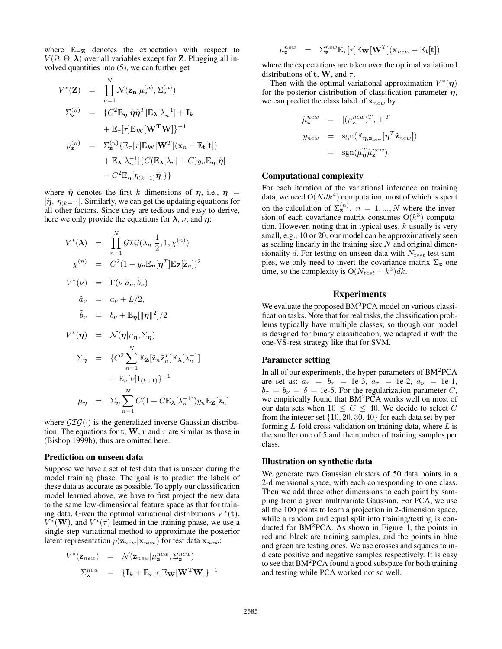where E<sup>−</sup><sup>Z</sup> denotes the expectation with respect to  $V(\Omega, \Theta, \lambda)$  over all variables except for **Z**. Plugging all involved quantities into (5), we can further get

$$
V^*(\mathbf{Z}) = \prod_{n=1}^N \mathcal{N}(\mathbf{z_n} | \mu_{\mathbf{z}}^{(n)}, \Sigma_{\mathbf{z}}^{(n)})
$$
  
\n
$$
\Sigma_{\mathbf{z}}^{(n)} = \{ C^2 \mathbb{E}_{\boldsymbol{\eta}} [\tilde{\boldsymbol{\eta}} \tilde{\boldsymbol{\eta}}^T] \mathbb{E}_{\boldsymbol{\lambda}} [\lambda_n^{-1}] + \mathbf{I}_k
$$
  
\n
$$
+ \mathbb{E}_{\boldsymbol{\tau}} [\boldsymbol{\tau}] \mathbb{E}_{\mathbf{W}} [\mathbf{W}^{\mathbf{T}} \mathbf{W}] \}^{-1}
$$
  
\n
$$
\mu_{\mathbf{z}}^{(n)} = \Sigma_{\mathbf{z}}^{(n)} \{ \mathbb{E}_{\boldsymbol{\tau}} [\boldsymbol{\tau}] \mathbb{E}_{\mathbf{W}} [\mathbf{W}^T] (\mathbf{x}_n - \mathbb{E}_{\mathbf{t}}[\mathbf{t}])
$$
  
\n
$$
+ \mathbb{E}_{\boldsymbol{\lambda}} [\lambda_n^{-1}] \{ C(\mathbb{E}_{\boldsymbol{\lambda}} [\lambda_n] + C) y_n \mathbb{E}_{\boldsymbol{\eta}} [\tilde{\boldsymbol{\eta}}]
$$
  
\n
$$
- C^2 \mathbb{E}_{\boldsymbol{\eta}} [\eta_{(k+1)} \tilde{\boldsymbol{\eta}}] \}
$$

where  $\tilde{\eta}$  denotes the first k dimensions of  $\eta$ , i.e.,  $\eta$  =  $[\tilde{\eta}, \eta_{(k+1)}]$ . Similarly, we can get the updating equations for all other factors. Since they are tedious and easy to derive, here we only provide the equations for  $\lambda$ ,  $\nu$ , and  $\eta$ :

$$
V^*(\lambda) = \prod_{n=1}^N \mathcal{GIG}(\lambda_n | \frac{1}{2}, 1, \chi^{(n)})
$$
  
\n
$$
\chi^{(n)} = C^2 (1 - y_n \mathbb{E}_{\eta}[\eta^T] \mathbb{E}_{\mathbf{Z}}[\tilde{\mathbf{z}}_n])^2
$$
  
\n
$$
V^*(\nu) = \Gamma(\nu | \tilde{a}_{\nu}, \tilde{b}_{\nu})
$$
  
\n
$$
\tilde{a}_{\nu} = a_{\nu} + L/2,
$$
  
\n
$$
\tilde{b}_{\nu} = b_{\nu} + \mathbb{E}_{\eta}[\|\eta\|^2]/2
$$
  
\n
$$
V^*(\eta) = \mathcal{N}(\eta | \mu_{\eta}, \Sigma_{\eta})
$$
  
\n
$$
\Sigma_{\eta} = \{C^2 \sum_{n=1}^N \mathbb{E}_{\mathbf{Z}}[\tilde{\mathbf{z}}_n \tilde{\mathbf{z}}_n^T] \mathbb{E}_{\lambda}[\lambda_n^{-1}]
$$
  
\n
$$
+ \mathbb{E}_{\nu}[\nu] \mathbf{I}_{(k+1)} \}^{-1}
$$
  
\n
$$
\mu_{\eta} = \Sigma_{\eta} \sum_{n=1}^N C(1 + C \mathbb{E}_{\lambda}[\lambda_n^{-1}]) y_n \mathbb{E}_{\mathbf{Z}}[\tilde{\mathbf{z}}_n]
$$

where  $\mathcal{GIG}(\cdot)$  is the generalized inverse Gaussian distribution. The equations for t, W, r and  $\tau$  are similar as those in (Bishop 1999b), thus are omitted here.

#### Prediction on unseen data

Suppose we have a set of test data that is unseen during the model training phase. The goal is to predict the labels of these data as accurate as possible. To apply our classification model learned above, we have to first project the new data to the same low-dimensional feature space as that for training data. Given the optimal variational distributions  $V^*(t)$ ,  $V^*(\mathbf{W})$ , and  $V^*(\tau)$  learned in the training phase, we use a single step variational method to approximate the posterior latent representation  $p(\mathbf{z}_{new}|\mathbf{x}_{new})$  for test data  $\mathbf{x}_{new}$ :

$$
V^*(\mathbf{z}_{new}) = \mathcal{N}(\mathbf{z}_{new} | \mu_{\mathbf{z}}^{new}, \Sigma_{\mathbf{z}}^{new})
$$

$$
\Sigma_{\mathbf{z}}^{new} = {\mathbf{I}_k + \mathbb{E}_{\tau}[\tau] \mathbb{E}_{\mathbf{W}}[\mathbf{W}^{\mathbf{T}}\mathbf{W}]}^{-1}
$$

$$
u_{\mathbf{z}}^{new} = \Sigma_{\mathbf{z}}^{new} \mathbb{E}_{\tau}[\tau] \mathbb{E}_{\mathbf{W}}[\mathbf{W}^T](\mathbf{x}_{new} - \mathbb{E}_{\mathbf{t}}[\mathbf{t}])
$$

where the expectations are taken over the optimal variational distributions of t, W, and  $\tau$ .

Then with the optimal variational approximation  $V^*(\eta)$ for the posterior distribution of classification parameter  $\eta$ , we can predict the class label of  $x_{new}$  by

$$
\tilde{\mu}_{\mathbf{z}}^{new} = [(\mu_{\mathbf{z}}^{new})^T, 1]^T
$$
  
\n
$$
y_{new} = \text{sgn}(\mathbb{E}_{\eta, \mathbf{z}_{new}}[\eta^T \tilde{\mathbf{z}}_{new}])
$$
  
\n
$$
= \text{sgn}(\mu_{\eta}^T \tilde{\mu}_{\mathbf{z}}^{new}).
$$

### Computational complexity

 $\overline{L}$ 

For each iteration of the variational inference on training data, we need  $O(Ndk^4)$  computation, most of which is spent on the calculation of  $\Sigma_{\mathbf{z}}^{(n)}$ ,  $n = 1, ..., N$  where the inversion of each covariance matrix consumes  $O(k^3)$  computation. However, noting that in typical uses,  $k$  usually is very small, e.g., 10 or 20, our model can be approximatively seen as scaling linearly in the training size  $N$  and original dimensionality  $d$ . For testing on unseen data with  $N_{test}$  test samples, we only need to invert the covariance matrix  $\Sigma_z$  one time, so the complexity is  $O(N_{test} + k^3)dk$ .

### Experiments

We evaluate the proposed  $BM<sup>2</sup>PCA$  model on various classification tasks. Note that for real tasks, the classification problems typically have multiple classes, so though our model is designed for binary classification, we adapted it with the one-VS-rest strategy like that for SVM.

#### Parameter setting

In all of our experiments, the hyper-parameters of BM<sup>2</sup>PCA are set as:  $a_r = b_r = 1e-3$ ,  $a_\tau = 1e-2$ ,  $a_\nu = 1e-1$ ,  $b_{\tau} = b_{\nu} = \delta = 1e-5$ . For the regularization parameter C, we empirically found that BM<sup>2</sup>PCA works well on most of our data sets when  $10 \leq C \leq 40$ . We decide to select C from the integer set  $\{10, 20, 30, 40\}$  for each data set by performing  $L$ -fold cross-validation on training data, where  $L$  is the smaller one of 5 and the number of training samples per class.

#### Illustration on synthetic data

We generate two Gaussian clusters of 50 data points in a 2-dimensional space, with each corresponding to one class. Then we add three other dimensions to each point by sampling from a given multivariate Gaussian. For PCA, we use all the 100 points to learn a projection in 2-dimension space, while a random and equal split into training/testing is conducted for  $BM^2PCA$ . As shown in Figure 1, the points in red and black are training samples, and the points in blue and green are testing ones. We use crosses and squares to indicate positive and negative samples respectively. It is easy to see that BM<sup>2</sup>PCA found a good subspace for both training and testing while PCA worked not so well.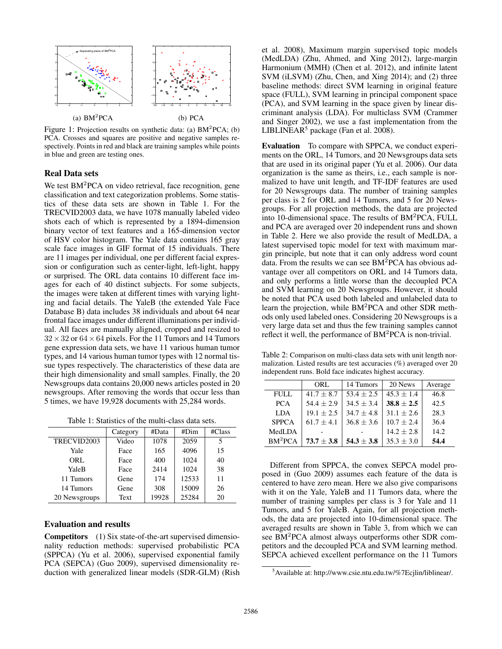

Figure 1: Projection results on synthetic data: (a) BM<sup>2</sup>PCA; (b) PCA. Crosses and squares are positive and negative samples respectively. Points in red and black are training samples while points in blue and green are testing ones.

### Real Data sets

We test BM<sup>2</sup>PCA on video retrieval, face recognition, gene classification and text categorization problems. Some statistics of these data sets are shown in Table 1. For the TRECVID2003 data, we have 1078 manually labeled video shots each of which is represented by a 1894-dimension binary vector of text features and a 165-dimension vector of HSV color histogram. The Yale data contains 165 gray scale face images in GIF format of 15 individuals. There are 11 images per individual, one per different facial expression or configuration such as center-light, left-light, happy or surprised. The ORL data contains 10 different face images for each of 40 distinct subjects. For some subjects, the images were taken at different times with varying lighting and facial details. The YaleB (the extended Yale Face Database B) data includes 38 individuals and about 64 near frontal face images under different illuminations per individual. All faces are manually aligned, cropped and resized to  $32 \times 32$  or  $64 \times 64$  pixels. For the 11 Tumors and 14 Tumors gene expression data sets, we have 11 various human tumor types, and 14 various human tumor types with 12 normal tissue types respectively. The characteristics of these data are their high dimensionality and small samples. Finally, the 20 Newsgroups data contains 20,000 news articles posted in 20 newsgroups. After removing the words that occur less than 5 times, we have 19,928 documents with 25,284 words.

Table 1: Statistics of the multi-class data sets.

|               | Category | #Data | #Dim  | $\#Class$ |
|---------------|----------|-------|-------|-----------|
| TRECVID2003   | Video    | 1078  | 2059  | 5         |
| Yale          | Face     | 165   | 4096  | 15        |
| ORL           | Face     | 400   | 1024  | 40        |
| YaleB         | Face     | 2414  | 1024  | 38        |
| 11 Tumors     | Gene     | 174   | 12533 | 11        |
| 14 Tumors     | Gene     | 308   | 15009 | 26        |
| 20 Newsgroups | Text     | 19928 | 25284 | 20        |

# Evaluation and results

Competitors (1) Six state-of-the-art supervised dimensionality reduction methods: supervised probabilistic PCA (SPPCA) (Yu et al. 2006), supervised exponential family PCA (SEPCA) (Guo 2009), supervised dimensionality reduction with generalized linear models (SDR-GLM) (Rish

et al. 2008), Maximum margin supervised topic models (MedLDA) (Zhu, Ahmed, and Xing 2012), large-margin Harmonium (MMH) (Chen et al. 2012), and infinite latent SVM (iLSVM) (Zhu, Chen, and Xing 2014); and (2) three baseline methods: direct SVM learning in original feature space (FULL), SVM learning in principal component space (PCA), and SVM learning in the space given by linear discriminant analysis (LDA). For multiclass SVM (Crammer and Singer 2002), we use a fast implementation from the LIBLINEAR<sup>5</sup> package (Fan et al. 2008).

Evaluation To compare with SPPCA, we conduct experiments on the ORL, 14 Tumors, and 20 Newsgroups data sets that are used in its original paper (Yu et al. 2006). Our data organization is the same as theirs, i.e., each sample is normalized to have unit length, and TF-IDF features are used for 20 Newsgroups data. The number of training samples per class is 2 for ORL and 14 Tumors, and 5 for 20 Newsgroups. For all projection methods, the data are projected into 10-dimensional space. The results of BM<sup>2</sup>PCA, FULL and PCA are averaged over 20 independent runs and shown in Table 2. Here we also provide the result of MedLDA, a latest supervised topic model for text with maximum margin principle, but note that it can only address word count data. From the results we can see  $BM<sup>2</sup>PCA$  has obvious advantage over all competitors on ORL and 14 Tumors data, and only performs a little worse than the decoupled PCA and SVM learning on 20 Newsgroups. However, it should be noted that PCA used both labeled and unlabeled data to learn the projection, while BM<sup>2</sup>PCA and other SDR methods only used labeled ones. Considering 20 Newsgroups is a very large data set and thus the few training samples cannot reflect it well, the performance of BM<sup>2</sup>PCA is non-trivial.

Table 2: Comparison on multi-class data sets with unit length normalization. Listed results are test accuracies (%) averaged over 20 independent runs. Bold face indicates highest accuracy.

|                     | ORL          | 14 Tumors    | 20 News        | Average |
|---------------------|--------------|--------------|----------------|---------|
| <b>FULL</b>         | $41.7 + 8.7$ | $53.4 + 2.5$ | $45.3 + 1.4$   | 46.8    |
| <b>PCA</b>          | $54.4 + 2.9$ | $34.5 + 3.4$ | $38.8 \pm 2.5$ | 42.5    |
| <b>LDA</b>          | $19.1 + 2.5$ | $34.7 + 4.8$ | $31.1 + 2.6$   | 28.3    |
| <b>SPPCA</b>        | $61.7 + 4.1$ | $36.8 + 3.6$ | $10.7 + 2.4$   | 36.4    |
| MedLDA              |              |              | $14.2 + 2.8$   | 14.2    |
| BM <sup>2</sup> PCA | $73.7 + 3.8$ | $54.3 + 3.8$ | $35.3 \pm 3.0$ | 54.4    |

Different from SPPCA, the convex SEPCA model proposed in (Guo 2009) assumes each feature of the data is centered to have zero mean. Here we also give comparisons with it on the Yale, YaleB and 11 Tumors data, where the number of training samples per class is 3 for Yale and 11 Tumors, and 5 for YaleB. Again, for all projection methods, the data are projected into 10-dimensional space. The averaged results are shown in Table 3, from which we can see BM<sup>2</sup>PCA almost always outperforms other SDR competitors and the decoupled PCA and SVM learning method. SEPCA achieved excellent performance on the 11 Tumors

<sup>5</sup>Available at: http://www.csie.ntu.edu.tw/%7Ecjlin/liblinear/.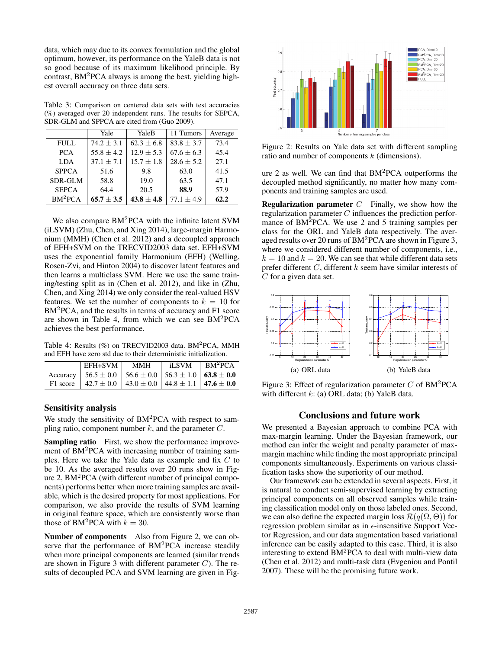data, which may due to its convex formulation and the global optimum, however, its performance on the YaleB data is not so good because of its maximum likelihood principle. By contrast, BM<sup>2</sup>PCA always is among the best, yielding highest overall accuracy on three data sets.

Table 3: Comparison on centered data sets with test accuracies (%) averaged over 20 independent runs. The results for SEPCA, SDR-GLM and SPPCA are cited from (Guo 2009).

|                     | Yale           | YaleB          | 11 Tumors      | Average |
|---------------------|----------------|----------------|----------------|---------|
| <b>FULL</b>         | $74.2 + 3.1$   | $62.3 + 6.8$   | $83.8 + 3.7$   | 73.4    |
| <b>PCA</b>          | $55.8 + 4.2$   | $12.9 \pm 5.3$ | $67.6 \pm 6.3$ | 45.4    |
| <b>LDA</b>          | $37.1 + 7.1$   | $15.7 \pm 1.8$ | $28.6 + 5.2$   | 27.1    |
| <b>SPPCA</b>        | 51.6           | 9.8            | 63.0           | 41.5    |
| SDR-GLM             | 58.8           | 19.0           | 63.5           | 47.1    |
| <b>SEPCA</b>        | 64.4           | 20.5           | 88.9           | 57.9    |
| BM <sup>2</sup> PCA | $65.7 \pm 3.5$ | $43.8 \pm 4.8$ | $77.1 + 4.9$   | 62.2    |

We also compare BM<sup>2</sup>PCA with the infinite latent SVM (iLSVM) (Zhu, Chen, and Xing 2014), large-margin Harmonium (MMH) (Chen et al. 2012) and a decoupled approach of EFH+SVM on the TRECVID2003 data set. EFH+SVM uses the exponential family Harmonium (EFH) (Welling, Rosen-Zvi, and Hinton 2004) to discover latent features and then learns a multiclass SVM. Here we use the same training/testing split as in (Chen et al. 2012), and like in (Zhu, Chen, and Xing 2014) we only consider the real-valued HSV features. We set the number of components to  $k = 10$  for BM<sup>2</sup>PCA, and the results in terms of accuracy and F1 score are shown in Table 4, from which we can see  $BM^2PCA$ achieves the best performance.

Table 4: Results (%) on TRECVID2003 data. BM<sup>2</sup>PCA, MMH and EFH have zero std due to their deterministic initialization.

| EFH+SVM                                                                      | MMH | $iLSVM$   $BM^2PCA$ |
|------------------------------------------------------------------------------|-----|---------------------|
| Accuracy   $56.5 \pm 0.0$   $56.6 \pm 0.0$   $56.3 \pm 1.0$   $63.8 \pm 0.0$ |     |                     |
| F1 score   $42.7 \pm 0.0$   $43.0 \pm 0.0$   $44.8 \pm 1.1$   $47.6 \pm 0.0$ |     |                     |

### Sensitivity analysis

We study the sensitivity of BM<sup>2</sup>PCA with respect to sampling ratio, component number  $k$ , and the parameter  $C$ .

Sampling ratio First, we show the performance improvement of  $BM<sup>2</sup>PCA$  with increasing number of training samples. Here we take the Yale data as example and fix C to be 10. As the averaged results over 20 runs show in Figure 2, BM<sup>2</sup>PCA (with different number of principal components) performs better when more training samples are available, which is the desired property for most applications. For comparison, we also provide the results of SVM learning in original feature space, which are consistently worse than those of BM<sup>2</sup>PCA with  $k = 30$ .

Number of components Also from Figure 2, we can observe that the performance of BM<sup>2</sup>PCA increase steadily when more principal components are learned (similar trends are shown in Figure 3 with different parameter  $C$ ). The results of decoupled PCA and SVM learning are given in Fig-



Figure 2: Results on Yale data set with different sampling ratio and number of components k (dimensions).

ure 2 as well. We can find that BM<sup>2</sup>PCA outperforms the decoupled method significantly, no matter how many components and training samples are used.

**Regularization parameter**  $C$  Finally, we show how the regularization parameter C influences the prediction performance of BM<sup>2</sup>PCA. We use 2 and 5 training samples per class for the ORL and YaleB data respectively. The averaged results over 20 runs of BM<sup>2</sup>PCA are shown in Figure 3, where we considered different number of components, i.e.,  $k = 10$  and  $k = 20$ . We can see that while different data sets prefer different  $C$ , different  $k$  seem have similar interests of C for a given data set.



Figure 3: Effect of regularization parameter C of  $BM^2PCA$ with different  $k$ : (a) ORL data; (b) YaleB data.

### Conclusions and future work

We presented a Bayesian approach to combine PCA with max-margin learning. Under the Bayesian framework, our method can infer the weight and penalty parameter of maxmargin machine while finding the most appropriate principal components simultaneously. Experiments on various classification tasks show the superiority of our method.

Our framework can be extended in several aspects. First, it is natural to conduct semi-supervised learning by extracting principal components on all observed samples while training classification model only on those labeled ones. Second, we can also define the expected margin loss  $\mathcal{R}(q(\Omega,\Theta))$  for regression problem similar as in  $\epsilon$ -insensitive Support Vector Regression, and our data augmentation based variational inference can be easily adapted to this case. Third, it is also interesting to extend  $BM<sup>2</sup>PCA$  to deal with multi-view data (Chen et al. 2012) and multi-task data (Evgeniou and Pontil 2007). These will be the promising future work.